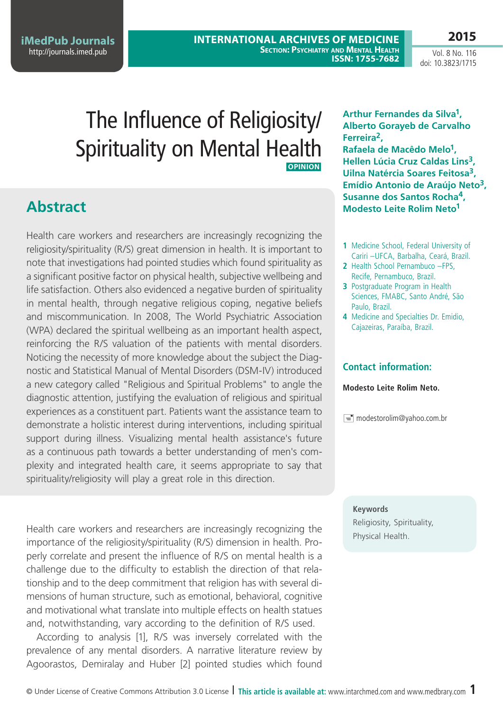**iMedPub Journals** <http://journals.imed.pub>

**2015** Vol. 8 No. 116 doi: 10.3823/1715

# The Influence of Religiosity/ Spirituality on Mental Health **Opinion**

## **Abstract**

Health care workers and researchers are increasingly recognizing the religiosity/spirituality (R/S) great dimension in health. It is important to note that investigations had pointed studies which found spirituality as a significant positive factor on physical health, subjective wellbeing and life satisfaction. Others also evidenced a negative burden of spirituality in mental health, through negative religious coping, negative beliefs and miscommunication. In 2008, The World Psychiatric Association (WPA) declared the spiritual wellbeing as an important health aspect, reinforcing the R/S valuation of the patients with mental disorders. Noticing the necessity of more knowledge about the subject the Diagnostic and Statistical Manual of Mental Disorders (DSM-IV) introduced a new category called "Religious and Spiritual Problems" to angle the diagnostic attention, justifying the evaluation of religious and spiritual experiences as a constituent part. Patients want the assistance team to demonstrate a holistic interest during interventions, including spiritual support during illness. Visualizing mental health assistance's future as a continuous path towards a better understanding of men's complexity and integrated health care, it seems appropriate to say that spirituality/religiosity will play a great role in this direction.

Health care workers and researchers are increasingly recognizing the religiosity, spinimportance of the religiosity/spirituality (R/S) dimension in health. Properly correlate and present the influence of R/S on mental health is a challenge due to the difficulty to establish the direction of that relationship and to the deep commitment that religion has with several dimensions of human structure, such as emotional, behavioral, cognitive and motivational what translate into multiple effects on health statues and, notwithstanding, vary according to the definition of R/S used.

According to analysis [1], R/S was inversely correlated with the prevalence of any mental disorders. A narrative literature review by Agoorastos, Demiralay and Huber [2] pointed studies which found

**Arthur Fernandes da Silva1, Alberto Gorayeb de Carvalho Ferreira2, Rafaela de Macêdo Melo1, Hellen Lúcia Cruz Caldas Lins3, Uilna Natércia Soares Feitosa3, Emídio Antonio de Araújo Neto3, Susanne dos Santos Rocha4, Modesto Leite Rolim Neto1**

- **1** Medicine School, Federal University of Cariri –UFCA, Barbalha, Ceará, Brazil.
- **2** Health School Pernambuco –FPS, Recife, Pernambuco, Brazil.
- **3** Postgraduate Program in Health Sciences, FMABC, Santo André, São Paulo, Brazil.
- **4** Medicine and Specialties Dr. Emidio, Cajazeiras, Paraíba, Brazil.

#### **Contact information:**

#### **Modesto Leite Rolim Neto.**

 $\equiv$  modestorolim@yahoo.com.br

#### **Keywords**

Religiosity, Spirituality,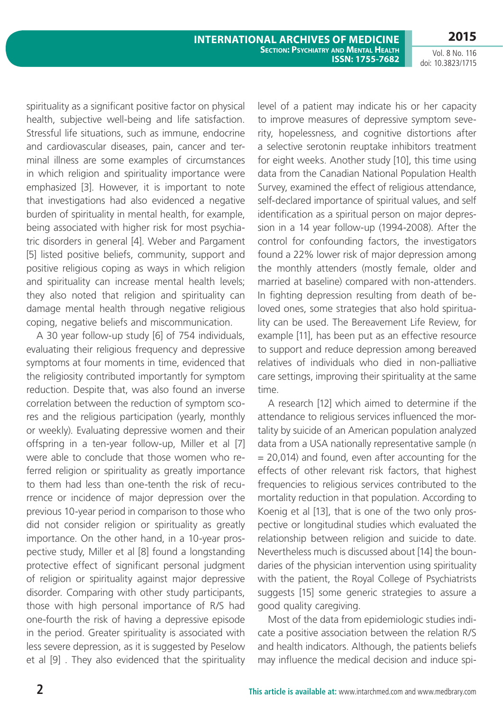Vol. 8 No. 116 doi: 10.3823/1715

spirituality as a significant positive factor on physical health, subjective well-being and life satisfaction. Stressful life situations, such as immune, endocrine and cardiovascular diseases, pain, cancer and terminal illness are some examples of circumstances in which religion and spirituality importance were emphasized [3]. However, it is important to note that investigations had also evidenced a negative burden of spirituality in mental health, for example, being associated with higher risk for most psychiatric disorders in general [4]. Weber and Pargament [5] listed positive beliefs, community, support and positive religious coping as ways in which religion and spirituality can increase mental health levels; they also noted that religion and spirituality can damage mental health through negative religious coping, negative beliefs and miscommunication.

A 30 year follow-up study [6] of 754 individuals, evaluating their religious frequency and depressive symptoms at four moments in time, evidenced that the religiosity contributed importantly for symptom reduction. Despite that, was also found an inverse correlation between the reduction of symptom scores and the religious participation (yearly, monthly or weekly). Evaluating depressive women and their offspring in a ten-year follow-up, Miller et al [7] were able to conclude that those women who referred religion or spirituality as greatly importance to them had less than one-tenth the risk of recurrence or incidence of major depression over the previous 10-year period in comparison to those who did not consider religion or spirituality as greatly importance. On the other hand, in a 10-year prospective study, Miller et al [8] found a longstanding protective effect of significant personal judgment of religion or spirituality against major depressive disorder. Comparing with other study participants, those with high personal importance of R/S had one-fourth the risk of having a depressive episode in the period. Greater spirituality is associated with less severe depression, as it is suggested by Peselow et al [9] . They also evidenced that the spirituality level of a patient may indicate his or her capacity to improve measures of depressive symptom severity, hopelessness, and cognitive distortions after a selective serotonin reuptake inhibitors treatment for eight weeks. Another study [10], this time using data from the Canadian National Population Health Survey, examined the effect of religious attendance, self-declared importance of spiritual values, and self identification as a spiritual person on major depression in a 14 year follow-up (1994-2008). After the control for confounding factors, the investigators found a 22% lower risk of major depression among the monthly attenders (mostly female, older and married at baseline) compared with non-attenders. In fighting depression resulting from death of beloved ones, some strategies that also hold spirituality can be used. The Bereavement Life Review, for example [11], has been put as an effective resource to support and reduce depression among bereaved relatives of individuals who died in non-palliative care settings, improving their spirituality at the same time.

A research [12] which aimed to determine if the attendance to religious services influenced the mortality by suicide of an American population analyzed data from a USA nationally representative sample (n  $= 20,014$ ) and found, even after accounting for the effects of other relevant risk factors, that highest frequencies to religious services contributed to the mortality reduction in that population. According to Koenig et al [13], that is one of the two only prospective or longitudinal studies which evaluated the relationship between religion and suicide to date. Nevertheless much is discussed about [14] the boundaries of the physician intervention using spirituality with the patient, the Royal College of Psychiatrists suggests [15] some generic strategies to assure a good quality caregiving.

Most of the data from epidemiologic studies indicate a positive association between the relation R/S and health indicators. Although, the patients beliefs may influence the medical decision and induce spi-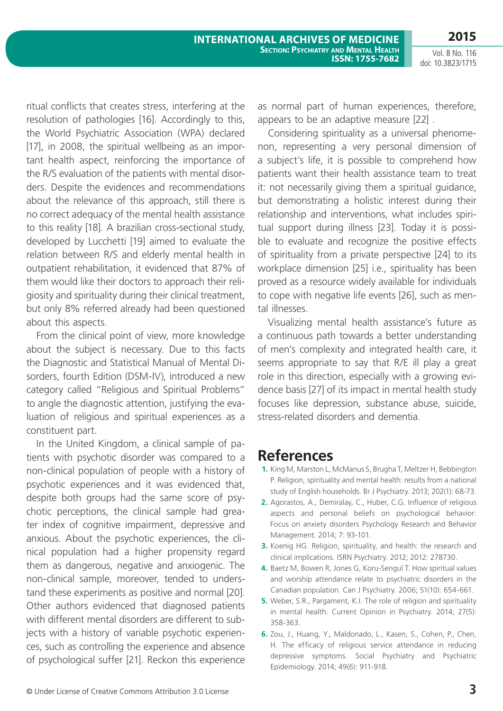Vol. 8 No. 116 doi: 10.3823/1715

ritual conflicts that creates stress, interfering at the resolution of pathologies [16]. Accordingly to this, the World Psychiatric Association (WPA) declared [17], in 2008, the spiritual wellbeing as an important health aspect, reinforcing the importance of the R/S evaluation of the patients with mental disorders. Despite the evidences and recommendations about the relevance of this approach, still there is no correct adequacy of the mental health assistance to this reality [18]. A brazilian cross-sectional study, developed by Lucchetti [19] aimed to evaluate the relation between R/S and elderly mental health in outpatient rehabilitation, it evidenced that 87% of them would like their doctors to approach their religiosity and spirituality during their clinical treatment, but only 8% referred already had been questioned about this aspects.

From the clinical point of view, more knowledge about the subject is necessary. Due to this facts the Diagnostic and Statistical Manual of Mental Disorders, fourth Edition (DSM-IV), introduced a new category called "Religious and Spiritual Problems" to angle the diagnostic attention, justifying the evaluation of religious and spiritual experiences as a constituent part.

In the United Kingdom, a clinical sample of patients with psychotic disorder was compared to a non-clinical population of people with a history of psychotic experiences and it was evidenced that, despite both groups had the same score of psychotic perceptions, the clinical sample had greater index of cognitive impairment, depressive and anxious. About the psychotic experiences, the clinical population had a higher propensity regard them as dangerous, negative and anxiogenic. The non-clinical sample, moreover, tended to understand these experiments as positive and normal [20]. Other authors evidenced that diagnosed patients with different mental disorders are different to subjects with a history of variable psychotic experiences, such as controlling the experience and absence of psychological suffer [21]. Reckon this experience

as normal part of human experiences, therefore, appears to be an adaptive measure [22] .

Considering spirituality as a universal phenomenon, representing a very personal dimension of a subject's life, it is possible to comprehend how patients want their health assistance team to treat it: not necessarily giving them a spiritual guidance, but demonstrating a holistic interest during their relationship and interventions, what includes spiritual support during illness [23]. Today it is possible to evaluate and recognize the positive effects of spirituality from a private perspective [24] to its workplace dimension [25] i.e., spirituality has been proved as a resource widely available for individuals to cope with negative life events [26], such as mental illnesses.

Visualizing mental health assistance's future as a continuous path towards a better understanding of men's complexity and integrated health care, it seems appropriate to say that R/E ill play a great role in this direction, especially with a growing evidence basis [27] of its impact in mental health study focuses like depression, substance abuse, suicide, stress-related disorders and dementia.

### **References**

- **1.** King M, Marston L, McManus S, Brugha T, Meltzer H, Bebbington P. Religion, spirituality and mental health: results from a national study of English households. Br J Psychiatry. 2013; 202(1): 68-73.
- **2.** Agorastos, A., Demiralay, C., Huber, C.G. Influence of religious aspects and personal beliefs on psychological behavior: Focus on anxiety disorders Psychology Research and Behavior Management. 2014; 7: 93-101.
- **3.** Koenig HG. Religion, spirituality, and health: the research and clinical implications. ISRN Psychiatry. 2012; 2012: 278730.
- **4.** Baetz M, Bowen R, Jones G, Koru-Sengul T. How spiritual values and worship attendance relate to psychiatric disorders in the Canadian population. Can J Psychiatry. 2006; 51(10): 654-661.
- **5.** Weber, S.R., Pargament, K.I. The role of religion and spirituality in mental health. Current Opinion in Psychiatry. 2014; 27(5): 358-363.
- **6.** Zou, J., Huang, Y., Maldonado, L., Kasen, S., Cohen, P., Chen, H. The efficacy of religious service attendance in reducing depressive symptoms. Social Psychiatry and Psychiatric Epidemiology. 2014; 49(6): 911-918.